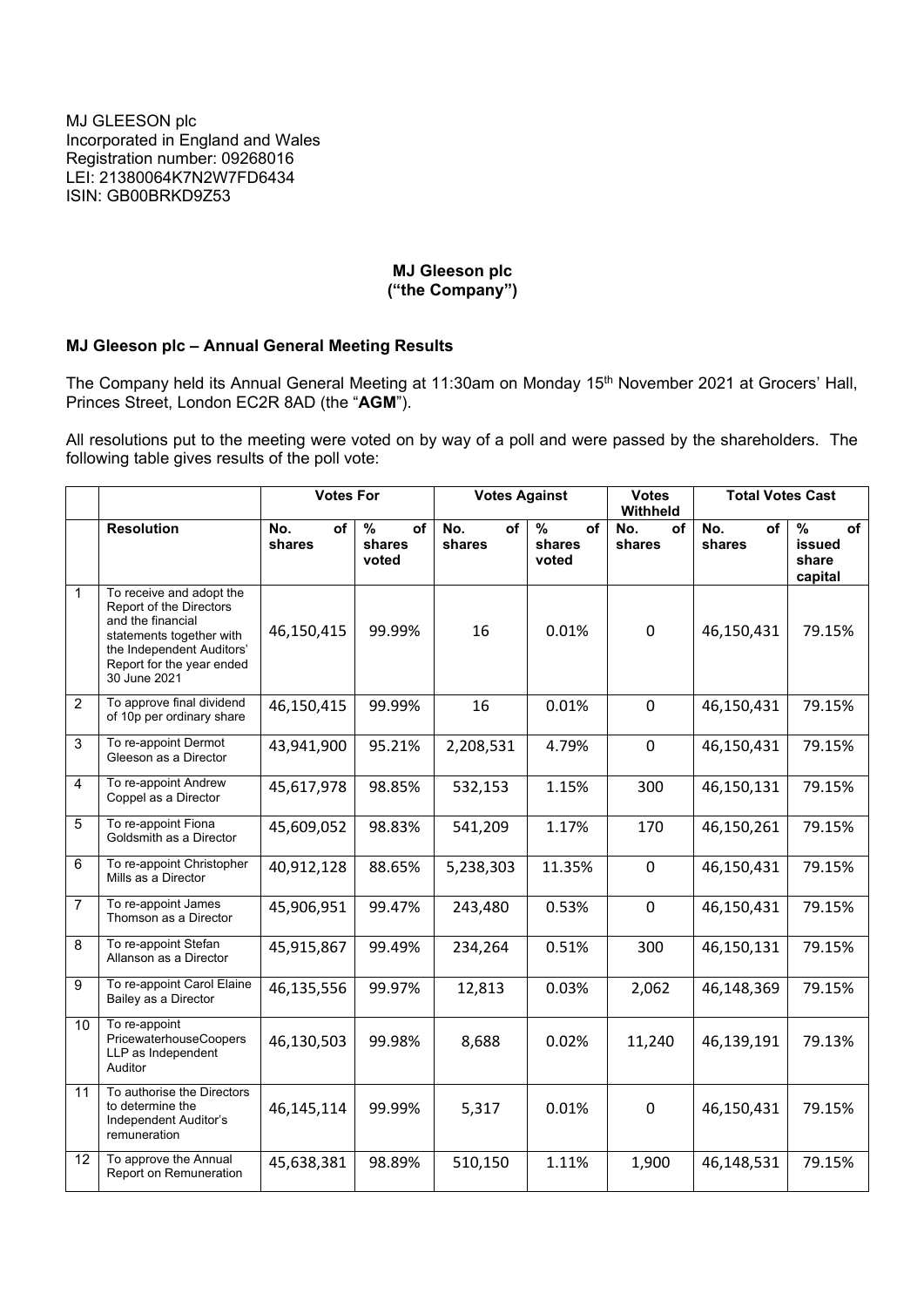## **MJ Gleeson plc ("the Company")**

## **MJ Gleeson plc – Annual General Meeting Results**

The Company held its Annual General Meeting at 11:30am on Monday 15<sup>th</sup> November 2021 at Grocers' Hall, Princes Street, London EC2R 8AD (the "**AGM**").

All resolutions put to the meeting were voted on by way of a poll and were passed by the shareholders. The following table gives results of the poll vote:

|                 |                                                                                                                                                                                | <b>Votes For</b>    |                                        | <b>Votes Against</b> |                                        | <b>Votes</b><br>Withheld | <b>Total Votes Cast</b> |                                                              |
|-----------------|--------------------------------------------------------------------------------------------------------------------------------------------------------------------------------|---------------------|----------------------------------------|----------------------|----------------------------------------|--------------------------|-------------------------|--------------------------------------------------------------|
|                 | <b>Resolution</b>                                                                                                                                                              | No.<br>of<br>shares | $\frac{9}{6}$<br>of<br>shares<br>voted | No.<br>of<br>shares  | $\frac{9}{6}$<br>of<br>shares<br>voted | No.<br>of<br>shares      | No.<br>of<br>shares     | $\overline{\frac{9}{6}}$<br>of<br>issued<br>share<br>capital |
| $\mathbf{1}$    | To receive and adopt the<br>Report of the Directors<br>and the financial<br>statements together with<br>the Independent Auditors'<br>Report for the year ended<br>30 June 2021 | 46,150,415          | 99.99%                                 | 16                   | 0.01%                                  | $\pmb{0}$                | 46,150,431              | 79.15%                                                       |
| $\overline{2}$  | To approve final dividend<br>of 10p per ordinary share                                                                                                                         | 46,150,415          | 99.99%                                 | 16                   | 0.01%                                  | $\mathbf 0$              | 46,150,431              | 79.15%                                                       |
| 3               | To re-appoint Dermot<br>Gleeson as a Director                                                                                                                                  | 43,941,900          | 95.21%                                 | 2,208,531            | 4.79%                                  | $\mathbf 0$              | 46,150,431              | 79.15%                                                       |
| 4               | To re-appoint Andrew<br>Coppel as a Director                                                                                                                                   | 45,617,978          | 98.85%                                 | 532,153              | 1.15%                                  | 300                      | 46,150,131              | 79.15%                                                       |
| 5               | To re-appoint Fiona<br>Goldsmith as a Director                                                                                                                                 | 45,609,052          | 98.83%                                 | 541,209              | 1.17%                                  | 170                      | 46,150,261              | 79.15%                                                       |
| 6               | To re-appoint Christopher<br>Mills as a Director                                                                                                                               | 40,912,128          | 88.65%                                 | 5,238,303            | 11.35%                                 | $\mathbf 0$              | 46,150,431              | 79.15%                                                       |
| $\overline{7}$  | To re-appoint James<br>Thomson as a Director                                                                                                                                   | 45,906,951          | 99.47%                                 | 243,480              | 0.53%                                  | $\mathbf 0$              | 46,150,431              | 79.15%                                                       |
| 8               | To re-appoint Stefan<br>Allanson as a Director                                                                                                                                 | 45,915,867          | 99.49%                                 | 234,264              | 0.51%                                  | 300                      | 46,150,131              | 79.15%                                                       |
| 9               | To re-appoint Carol Elaine<br>Bailey as a Director                                                                                                                             | 46,135,556          | 99.97%                                 | 12,813               | 0.03%                                  | 2,062                    | 46,148,369              | 79.15%                                                       |
| 10              | To re-appoint<br>PricewaterhouseCoopers<br>LLP as Independent<br>Auditor                                                                                                       | 46,130,503          | 99.98%                                 | 8,688                | 0.02%                                  | 11,240                   | 46,139,191              | 79.13%                                                       |
| 11              | To authorise the Directors<br>to determine the<br>Independent Auditor's<br>remuneration                                                                                        | 46,145,114          | 99.99%                                 | 5,317                | 0.01%                                  | $\mathbf 0$              | 46,150,431              | 79.15%                                                       |
| $\overline{12}$ | To approve the Annual<br>Report on Remuneration                                                                                                                                | 45,638,381          | 98.89%                                 | 510,150              | 1.11%                                  | 1,900                    | 46,148,531              | 79.15%                                                       |